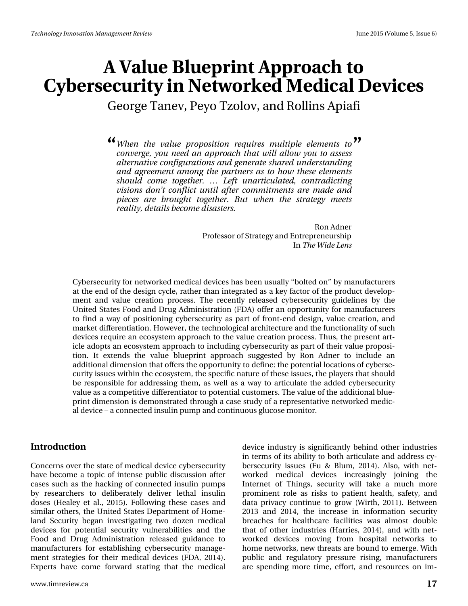George Tanev, Peyo Tzolov, and Rollins Apiafi

*When the value proposition requires multiple elements to* **" "***converge, you need an approach that will allow you to assess alternative configurations and generate shared understanding and agreement among the partners as to how these elements should come together. … Left unarticulated, contradicting visions don't conflict until after commitments are made and pieces are brought together. But when the strategy meets reality, details become disasters.*

> Ron Adner Professor of Strategy and Entrepreneurship In *The Wide Lens*

Cybersecurity for networked medical devices has been usually "bolted on" by manufacturers at the end of the design cycle, rather than integrated as a key factor of the product development and value creation process. The recently released cybersecurity guidelines by the United States Food and Drug Administration (FDA) offer an opportunity for manufacturers to find a way of positioning cybersecurity as part of front-end design, value creation, and market differentiation. However, the technological architecture and the functionality of such devices require an ecosystem approach to the value creation process. Thus, the present article adopts an ecosystem approach to including cybersecurity as part of their value proposition. It extends the value blueprint approach suggested by Ron Adner to include an additional dimension that offers the opportunity to define: the potential locations of cybersecurity issues within the ecosystem, the specific nature of these issues, the players that should be responsible for addressing them, as well as a way to articulate the added cybersecurity value as a competitive differentiator to potential customers. The value of the additional blueprint dimension is demonstrated through a case study of a representative networked medical device – a connected insulin pump and continuous glucose monitor.

#### **Introduction**

Concerns over the state of medical device cybersecurity have become a topic of intense public discussion after cases such as the hacking of connected insulin pumps by researchers to deliberately deliver lethal insulin doses (Healey et al., 2015). Following these cases and similar others, the United States Department of Homeland Security began investigating two dozen medical devices for potential security vulnerabilities and the Food and Drug Administration released guidance to manufacturers for establishing cybersecurity management strategies for their medical devices (FDA, 2014). Experts have come forward stating that the medical

device industry is significantly behind other industries in terms of its ability to both articulate and address cybersecurity issues (Fu & Blum, 2014). Also, with networked medical devices increasingly joining the Internet of Things, security will take a much more prominent role as risks to patient health, safety, and data privacy continue to grow (Wirth, 2011). Between 2013 and 2014, the increase in information security breaches for healthcare facilities was almost double that of other industries (Harries, 2014), and with networked devices moving from hospital networks to home networks, new threats are bound to emerge. With public and regulatory pressure rising, manufacturers are spending more time, effort, and resources on im-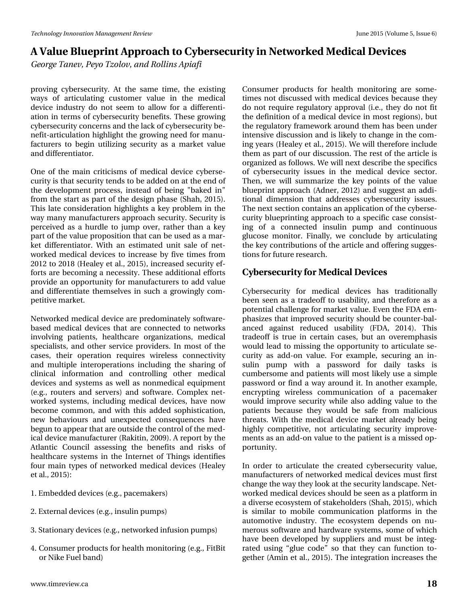*George Tanev, Peyo Tzolov, and Rollins Apiafi*

proving cybersecurity. At the same time, the existing ways of articulating customer value in the medical device industry do not seem to allow for a differentiation in terms of cybersecurity benefits. These growing cybersecurity concerns and the lack of cybersecurity benefit-articulation highlight the growing need for manufacturers to begin utilizing security as a market value and differentiator.

One of the main criticisms of medical device cybersecurity is that security tends to be added on at the end of the development process, instead of being "baked in" from the start as part of the design phase (Shah, 2015). This late consideration highlights a key problem in the way many manufacturers approach security. Security is perceived as a hurdle to jump over, rather than a key part of the value proposition that can be used as a market differentiator. With an estimated unit sale of networked medical devices to increase by five times from 2012 to 2018 (Healey et al., 2015), increased security efforts are becoming a necessity. These additional efforts provide an opportunity for manufacturers to add value and differentiate themselves in such a growingly competitive market.

Networked medical device are predominately softwarebased medical devices that are connected to networks involving patients, healthcare organizations, medical specialists, and other service providers. In most of the cases, their operation requires wireless connectivity and multiple interoperations including the sharing of clinical information and controlling other medical devices and systems as well as nonmedical equipment (e.g., routers and servers) and software. Complex networked systems, including medical devices, have now become common, and with this added sophistication, new behaviours and unexpected consequences have begun to appear that are outside the control of the medical device manufacturer (Rakitin, 2009). A report by the Atlantic Council assessing the benefits and risks of healthcare systems in the Internet of Things identifies four main types of networked medical devices (Healey et al., 2015):

- 1. Embedded devices (e.g., pacemakers)
- 2. External devices (e.g., insulin pumps)
- 3. Stationary devices (e.g., networked infusion pumps)
- 4. Consumer products for health monitoring (e.g., FitBit or Nike Fuel band)

www.timreview.ca **18**

Consumer products for health monitoring are sometimes not discussed with medical devices because they do not require regulatory approval (i.e., they do not fit the definition of a medical device in most regions), but the regulatory framework around them has been under intensive discussion and is likely to change in the coming years (Healey et al., 2015). We will therefore include them as part of our discussion. The rest of the article is organized as follows. We will next describe the specifics of cybersecurity issues in the medical device sector. Then, we will summarize the key points of the value blueprint approach (Adner, 2012) and suggest an additional dimension that addresses cybersecurity issues. The next section contains an application of the cybersecurity blueprinting approach to a specific case consisting of a connected insulin pump and continuous glucose monitor. Finally, we conclude by articulating the key contributions of the article and offering suggestions for future research.

#### **Cybersecurity for Medical Devices**

Cybersecurity for medical devices has traditionally been seen as a tradeoff to usability, and therefore as a potential challenge for market value. Even the FDA emphasizes that improved security should be counter-balanced against reduced usability (FDA, 2014). This tradeoff is true in certain cases, but an overemphasis would lead to missing the opportunity to articulate security as add-on value. For example, securing an insulin pump with a password for daily tasks is cumbersome and patients will most likely use a simple password or find a way around it. In another example, encrypting wireless communication of a pacemaker would improve security while also adding value to the patients because they would be safe from malicious threats. With the medical device market already being highly competitive, not articulating security improvements as an add-on value to the patient is a missed opportunity.

In order to articulate the created cybersecurity value, manufacturers of networked medical devices must first change the way they look at the security landscape. Networked medical devices should be seen as a platform in a diverse ecosystem of stakeholders (Shah, 2015), which is similar to mobile communication platforms in the automotive industry. The ecosystem depends on numerous software and hardware systems, some of which have been developed by suppliers and must be integrated using "glue code" so that they can function together (Amin et al., 2015). The integration increases the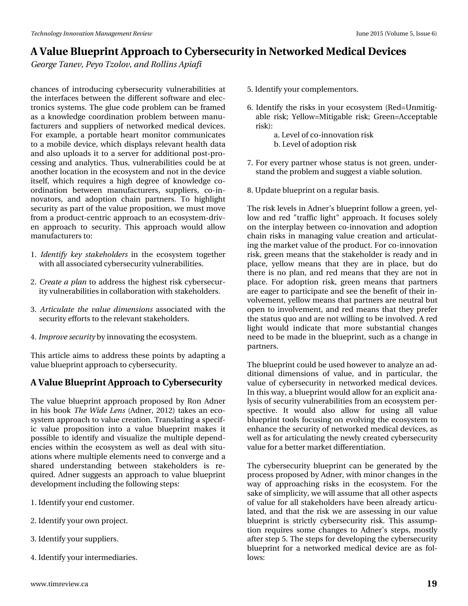*George Tanev, Peyo Tzolov, and Rollins Apiafi*

chances of introducing cybersecurity vulnerabilities at the interfaces between the different software and electronics systems. The glue code problem can be framed as a knowledge coordination problem between manufacturers and suppliers of networked medical devices. For example, a portable heart monitor communicates to a mobile device, which displays relevant health data and also uploads it to a server for additional post-processing and analytics. Thus, vulnerabilities could be at another location in the ecosystem and not in the device itself, which requires a high degree of knowledge coordination between manufacturers, suppliers, co-innovators, and adoption chain partners. To highlight security as part of the value proposition, we must move from a product-centric approach to an ecosystem-driven approach to security. This approach would allow manufacturers to:

- 1. *Identify key stakeholders* in the ecosystem together with all associated cybersecurity vulnerabilities.
- 2. *Create a plan* to address the highest risk cybersecurity vulnerabilities in collaboration with stakeholders.
- 3. *Articulate the value dimensions* associated with the security efforts to the relevant stakeholders.
- 4. *Improve security* by innovating the ecosystem.

This article aims to address these points by adapting a value blueprint approach to cybersecurity.

#### **A Value Blueprint Approach to Cybersecurity**

The value blueprint approach proposed by Ron Adner in his book *The Wide Lens* (Adner, 2012) takes an ecosystem approach to value creation. Translating a specific value proposition into a value blueprint makes it possible to identify and visualize the multiple dependencies within the ecosystem as well as deal with situations where multiple elements need to converge and a shared understanding between stakeholders is required. Adner suggests an approach to value blueprint development including the following steps:

- 1. Identify your end customer.
- 2. Identify your own project.
- 3. Identify your suppliers.
- 4. Identify your intermediaries.
- 5. Identify your complementors.
- 6. Identify the risks in your ecosystem (Red=Unmitigable risk; Yellow=Mitigable risk; Green=Acceptable risk):
	- a. Level of co-innovation risk b. Level of adoption risk
- 7. For every partner whose status is not green, understand the problem and suggest a viable solution.
- 8. Update blueprint on a regular basis.

The risk levels in Adner's blueprint follow a green, yellow and red "traffic light" approach. It focuses solely on the interplay between co-innovation and adoption chain risks in managing value creation and articulating the market value of the product. For co-innovation risk, green means that the stakeholder is ready and in place, yellow means that they are in place, but do there is no plan, and red means that they are not in place. For adoption risk, green means that partners are eager to participate and see the benefit of their involvement, yellow means that partners are neutral but open to involvement, and red means that they prefer the status quo and are not willing to be involved. A red light would indicate that more substantial changes need to be made in the blueprint, such as a change in partners.

The blueprint could be used however to analyze an additional dimensions of value, and in particular, the value of cybersecurity in networked medical devices. In this way, a blueprint would allow for an explicit analysis of security vulnerabilities from an ecosystem perspective. It would also allow for using all value blueprint tools focusing on evolving the ecosystem to enhance the security of networked medical devices, as well as for articulating the newly created cybersecurity value for a better market differentiation.

The cybersecurity blueprint can be generated by the process proposed by Adner, with minor changes in the way of approaching risks in the ecosystem. For the sake of simplicity, we will assume that all other aspects of value for all stakeholders have been already articulated, and that the risk we are assessing in our value blueprint is strictly cybersecurity risk. This assumption requires some changes to Adner's steps, mostly after step 5. The steps for developing the cybersecurity blueprint for a networked medical device are as follows: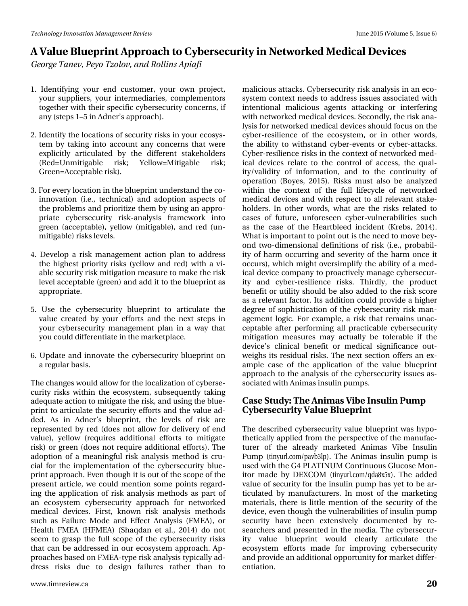# D#Ydoxh#Eoxhsulqw#Dssurdfk#wr#F|ehuvhfxulwl#q#Qhvzrunhq#Phqlfdo#Ghylfhv Jhrujh#Wdghy/#Sh|r#W}rory/#dgg#Urodgy#Dsldil

- 4 #Lghqwli | Iqj #| r xu#hqg#f xwr p hu/#| r xu#r z q#sur rhf w/# | rxu#vxssolhuv/#| rxu#lqwhuphgldulhv/#frpsohphqwruv# wrjh wkhu#zlwk#wkhlu#vshflilf#l|ehuvhfxulw|#frqfhuqv/#li# dq | # whs v #4 '8 # q # D g q hu\* v # ds s ur df k, 1
- 51#Lghqwli|#wkh#orfdwlrqv#ti#whfxulw|#ulvnv#lq#|rxu#hfrv|v0 whp #e|#wdnlqj#lqwr#dffrxqw#dq|#frqfhuqv#wkdw#zhuh# h{solflwo|#duwlfxodwhg#e|#wkh#gliihuhqw#wwdnhkroghuw# +Uhg @ X qp lwljdedn# ulvn:# \hoorz @ P lwljdedn# ulvn:# Juhhq@Dffhsvdedn#Jvn,1
- 61# ru#hyhu|#orfdwlrq#q#wkh#eoxhsulqw+xqghuvwdqg#wkh#fr0 lggr ydw'r g#+l1h1/#whfkglfdg#dgg#dgr sw'r g#dvshfw#ri# wk.h#sureohpv#dqg#sulrulwl}h#wk.hp#e|#xvlqj#dq#dssur0 suldwh#f|ehuvhfxulw|#ulvn0dqdqvlv#iudphzrun#lqwr# juhhq#+dffhswdedn,/#|hoorz#+plwljdedn,/#dqg#uhg#+xq0 p lwij dech, #ulvnv#blyhov#
- 7#Ghyhor s#d#ulvn#p dqdj hp hqw#df wtr q#sodq#wr#dgguhvv# wkh#kljkhvw#sulrulw|#Jvnv#+|hoorz#dqg#uhg,#zlwk#d#yl0 dedn#vhf x ulw #ulvn#p lwlj dwir q#p hdvx uh#wr #p dnh#wk h#ulvn# dnyho#dff hswdedn#ijuhhq,#dqg#dgg#w#wr#wkh#eoxhsulqw#dv# dssursuldwh#
- 8#Xvh#wkh#f|ehuvhfxulw|#eoxhsulqw#wr#duwfxodwh#wkh# ydox h#fuhdwhg#e|#|rxu#hiiruw#dqg#wkh#qh{w#vwhsv#lq# | r x u# | ehuvhf x ulw| #p dqdj hp hqw#s odq#lq#d#z d| #wk dw# |rx#frxog#gliihuhqwldwh#q#wkh#pdunhwsodfh1
- 91#Xsgdwh#dqg#lqqrydwh#wkh#f|ehuvhfxulw|#exhsulqw#rq# d#thjxodu#edvlv1

Wikh#kdqjhv#zrxog#doorz#ru#wkh#orfdol}dwlrq#i#lehuvh0 f x uw #uvnv#z lwklq#wkh#hfrv| whp /#vxevhtxhqwo| #wdnlqj # dght x dwh#dfwlrg#wr#plwljdwh#wkh#ulvn/#dqg#xvlqj#wkh#eoxh0 sulqw#wr#duwlfxodwh#wkh#whfxulw|#hiiruw#dqg#wkh#ydoxh#dg0 ghg#Dv#Iq#Dgqhư\*v#exhsulqw#wkh#dnyhov#ri#ulvn#duh# uhsuhvhqwhg#e|#uhg#+grhv#qrw#doorz#iru#ghdyhu|#ri#hqg# ydoxh,/#| hoor z #+ uht xluhv#dgglwlr qdd#hiir uw # wr # p lwijdwh# ulvn, # u#j uhhq# gr hv#qr w#uht xluh#dgglwr qdo#hiir uw, #A/kh# dgrswlrq#ri#d#phdqlqjixc#ulvn#dqdojvlv#phwkrg#lv#fux0 fldo#iru#wkh#lpsohphqwdwlrq#ri#wkh#f|ehuvhfxulw|#eoxh0 sulqw#dssurdfk1#Hyhq#wkrxjk#lw#lv#xw#i#wkh#vfrsh#i#wkh# suhvhqw#duwlfoh/#zh#frxog#phqwlrq#vrph#srlqw#uhjdug0 lqj#wkh#dssolfdwlrq#ri#Jun#dqdojvlv#phwkrgv#dv#sduw#ri#  $dq$ #hfrv| whp #f|ehuvhfxulw|#dssurdfk#iru#qhwzrunhg# p hglf do#ghylf hv#l luw#nqr z q#ulvn#dqdd vlv#p hwkr gv# vxf k#dv#l dlox uh#P r gh#dqg#Hiihf w#Dqdd vlv#+l P HD,/#r u# Khdowk#I P HD#+KI P HD,#+Vkdt gdq#hw#dol/#5347,#gr #qr w# vhhp #wr#judvs#wkh#ixoo#vfrsh#ri#wkh#f|ehuvhfxulw|#ulvnv# wkdw#dq#eh#dgguhvvhg#q#rxu#nfrv|whp#dssurdfk1#Ds0 sur df khv#edvhg# q# PHD0wjsh#ulvn#dqdojvlv#wjslfdooj#dg0  $g$ uhvv# ulvnv# gxh# wr# ghvljq#idloxuhv# udvkhu# wkdq# wr# lqwhqwr qdd#p ddflr xv#dj hqw#dwdfnlqj#ru#lqwhuihulqj# z lwk#ghwz r unhg#p hglf do#ghylf hv#Whf r ggol/#wkh#ulvn#dgd0 o viv#ru#qhvzrunhg#phglfdo#ghylfhv#vkrxog#rfxv#q#wkh# f ehu0uhvldhqf h#r i#wkh#hf r v| whp /#r u#lq#r wkhu#z r ugv/# wkh#deldwl#wr#zlwkwdqg#f|ehu0hyhqw#ru#f|ehu0dwdfnv1# F ehu0uhvldhqf h#ulvnv#q#wk h#frqwh{w#i#qhwzrunhg#phg0 If do#ghylf hv#uhodwh#wr#wkh#frqwuro#ri#dffhvv/#wkh#txdo0 lw|2yddglw|#ri#lqirupdwrq/#dqg#wr#wkh#frqwlqxlw|#ri# r shudwr q#+Er | hv/#5348, #Ulvnv#p x w#dovr #eh#dqdd } hg# z lwklq#wkh#frqwh{w#ri#wkh#ixoo#dihf|fdn#ri#qhwzrunhg# p half do#ahylf hv#dqg#z lwk#uhvshfw#wr#doo#uhdhydqw#wodnh0 kroghuv#Lq#rwkhu#zrugv/#zkdw#duh#wkh#ulvnv#uhodwhg#wr# f dvhv#r i#ixwsuh/#xqiruhvhhq#f|ehu0yxoqhudeldwhv#vxfk# dv#wkh#fdvh#ri#wkh#Khduvednhg#lqflghqw#+Nuhev/#5347,# Z kdw#v#p sruwdqw#wr#srlqw#xw#v#wkh#qhhg#wr#p ryh#eh|0 r gg#wz r 0glp hqvlr qdd#ghilglwlr qv#ri#Jvn#+l11/#suredelo0 lwh #i#kdup #rffxuulqj#dqg#vhyhulw|#ri#wkh#kdup #rqfh#lw# rffxuv,/#zklfk#pljkw#ryhuvlpsoli|#wkh#delolw|#ri#d#phg0 If do#ghylf h#frp sdq|#wr#surdfwlyho|#pdqdjh#f|ehuvhfxu0 lw #dqg#f|ehuQuhvldhqfh#ulvnv#Wklugo|/#wkh#surgxfw# ehq hilw # u#x wolw # wk r x og #eh#dovr#dgghg#wr#wk h#ulvn# wf r uh# dv#d#uhdnydqw#dfwru1#Lw#dgglwlrq#frxog#surylgh#d#kljkhu# ghj uhh#r i#vr sklvwlfdwlr q#r i#wkh#f | ehuvhf xulw|#ulvn#p dq0 dj hp hqwtor j lf 1#1 ru#h{dp soh/#d#Jvn#wkdw#uhp dlqv#xqdf0 f hs vde ch#divhu#s huir up Iqj #doo#s udf wf de ch#f | ehuv hf x ulw # p lwj dwr q#p hdvx uhv#p d| #df wx doo| #eh#wr ohude oh#li#wk h# ghylf h $\tilde{S}$ #f dqlf do#ehqhilw#r u#p hqlf do#vlj qlilf dqf h#r x v0 z hlj kv#lw#uhvlgxdc#ulvnv1#Wkh#qh{w#vhfwlrq#riihuv#dq#h{0 dp soh#f dvh#r i#wkh#dssolf dwir q#r i#wkh#ydoxh#eoxhsulqw# dssurdfk#w#wkh#dqdqvlv#ti#wkh#|ehuvhfxulw|#wxhv#dv0 vr fldwhg#lwk#Dqlp dv#qvxdq#sxp sv#

p ddf ir xv#dwdf nv1#F|ehuvhf xulw|#ulvn#dqdd viv#q#dq#hf r 0 v| whp # r qwh{w#qhhqv#wr#dgguhw#wxhv#dwrfldwhg#zlwk#

#### Fdvh#./wx.q|=#/\kh#Dqlpdv#Yleh#Lqvxdq#Sxps#  $F$ | ehuvhf x ulw|  $A$ Ydoxh $E$ oxhsulqw

Wkh#ghvfulehg#|ehuvhfxulw|#ydoxh#eoxhsulqw#zdv#k|sr0 wk.hwlfdool#dssolhg#lurp#wk.h#shuvshfwlyh#ri#wk.h#pdqxidf0 wsuhu#ri#wkh#douhdg|#pdunhwhg#Dqlpdv#Yleh#Lqvxdq# Sxp s#+wlq|xuofrp2sdye6os,1# Wkh#Dqlpdv#lqvxdq#sxps#lv# xvhg#zlwk#wkh#J7#SODWLQXP#Frqwlqxrxv#Joxfrvh#Prq0 Iw u#p dgh#e|#GH[FRP #+wlq|xuofrp 2t gd; {8{, 1# Wk h#dgghg# ydoxh#i#vhfxulw|#iru#wkh#lqvxdq#sxps#kdv#|hw#wr#eh#du0 whix odwhg#e|#pdqxidfwxuhuv#4Lq#prw#ri#wkh#pdunhwlqj# p dwhuldov/#wkhuh#lv#olwoh#p hqwlrq#ri#wkh#vhfxulw|#ri#wkh# ghylf h/#hyhq#wkrxjk#wkh#yxoqhudeldwhv#ri#qvxdq#sxps# vhf x u w # k dyh # e h h q # h { wh q vl y h q # g r f x p h q wh g # e | # u h 0 vhduf khuv#dqg#suhvhqvhg#q#wkh#p hgld#Wkh#f|ehuvhfxu0 lw|#ydoxh#eoxhsulqw#zrxog#fohduo|#duwlfxodwh#wkh# hfrv whp #hiiruw#p dgh#iru#lp surylgj#f|ehuvhfxulw|# dqg#surylgh#dq#dgglwlrqdo#ssruwxqlw|#iru#pdunhw#gliihu0 hqwdwr q#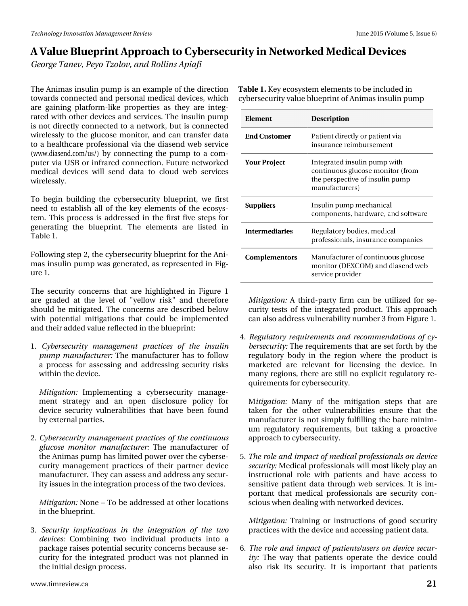# D#Ydoxh#Eoxhsulqw#Dssurdfk#wr#F|ehuvhfxulwl#q#Qhvzrunhq#Phqlfdo#Ghylfhv Jhrujh#Wdghy/#Sh|r#W}rory/#dgg#Urodgy#Dsldil

Wkh#Dqlp dv#qvxdq#sxp s#v#dq#h{dp soh#i#wkh#qluhfwlrq# Woleoh#14Alh|#hfrv|whp#hohphqw#wr#eh#qfoxghq#q# wrzdugy#frqqhfwhg#dqg#shuvrqdo#phqlfdo#ghylfhv/#zklfk#f|ehuvhfxulw|#ydoxh#eoxhsulqw#i#Dqlpdv#qvxdq#sxps duh#jdlqlqj#sodwirup 0dnh#surshuwhv#dv#wkh|#duh#lqwhj0 udwhg#z lwk#wkhu#ghylfhv#dqg#vhuylfhv1#Wkh#lqvxdq#sxps# lv#qrw#gluhfwo|#frqqhfwhg#wr#d#qhwzrun/#exw#lv#frqqhfwhg# z luhdnwo) #wr#wkh#joxfrvh#prqlwru/#dqg#fdq#wudqvihu#gdwd# w #d#khdowkfduh#surihwlrqdd#yld#wkh#gldvhqq#zhe#vhuylfh# +zzz1gldvhqg1frp2xv2,#e|#frqqhfwlqj#wkh#sxps#wr#d#frp0 sxwhu#yld#XVE# u#qiuduhg# r qqhf wr q # xwxuh#qhwz r unhg# p hglf do#ghylf hv#z loo#vhqg#gdvol#wr#for x g#z he#vhuylf hv# z luhdnwo 1

W #ehjlq#exloglqj#wkh#f|ehuvhfxulw|#exhsulqw#zh#iluvw# qhhg#wr#hvwdedivk#doc#ri#wkh#nh|#hohphqwr#ri#wkh#hfrv|v0 whp 14AVK ly#surf hw#ly#dgguhwhg#lq#wkh#lluw#llyh#whsv#iru# j hqhudwiq #wkh#eoxhsulqw#Wkh#hohphqw#duh#olvwhg#lq# Wdedn#1

Iroorzlqi# whs#5/#wkh#flehuvhfxulw|#exhsulqw#ru#wkh#Dql0 p dv#qvxdq#sxp s#z dv#j hqhudwhg/#dv#uhsuhvhqwhg#q# lj 0 xuh#1##

Wikh#vhfxulwi#frqfhuqv#wkdw#duh#kljkoljkwhg#lq#lljxuh#4# duh#judghg#dw#wkh#dnyho#ri#%hoorz#ulvn%#dqg#wkhuhiruh# vkr x og#eh#plwijdwhg1#Wkh#frqfhuqv#duh#ghvfulehg#ehorz# z lwk#srwhqwldd#plwidwhrqv#wkdw#frxog#eh#lpsohphqwhg# dqg#kkhlu#dgghg#ydoxh#bidnfwhg#q#kkh#eoxhsulqw=

4#F ehuvhf x ulw #p dqdj hp hqw #s udf wf hw #r i # wk h #l q w dq # sxps#pdqxidfwxuhu#AWkh#pdqxidfwxuhu#kdv#wr#iroorz# d#surfhw#iru#dwhwlqj#dqg#dgguhwlqj#vhfxulw|#ulvnv# z lwklq#wkh#ghylfh1

Plwidwrg#Lpsohphqwlqi#d#flehuvhfxulw#pdqdjh0 phqw#ww.dwhil#dqg#dq#rshq#glvforvxuh#srolf|#iru# ghylf h#vhf x uw #yx cq hudeldwhv#wk dw#k dyh#ehhq#ir x qg# e| #h{ vhuqdo#s duwthv #

51#F|ehuvhfxulw|#pdqdjhphqw#sudfwlfhw#ri#wkh#frqwlqxrxw# joxfrvh#prqlwru#pdqxidfwxuhu=#Wkh#pdqxidfwxuhu#ri# wk.h#Dqlpdv#sxps#xdv#blplwhg#srzhu#ryhu#wk.h#f|ehuvh0 f x ulw #p dgdj hp hgw#sudfwlf hv#ri#wk hlu#sduwghu#ghylf h# p dqxidfwxuhut#Wkh|#dq#dwhw#dqg#dgguhw#dq|#whfxu0 lw|#wxhv#q#wkh#qwhjudwlrq#surfhw#i#wkh#wzr#ghylfhv1#

Plwidwr g= Qr gh# # Wr #eh#dgguh whg#dw #wk hu#or fdwlr gw # lq#kh#exhsulqwl

61#Vhfxulw|#lpsdfdwlrqv#lq#wkh#lqwhjudwlrq#ri#wkh#wzr# ghylfhv#Frpelqlqj#wzr#lqglylgxdo#surgxfw#lqwr#d# s df ndj h#dlvhv#srwhqwldd#vhf xulwl#r qf huqv#ehf dxvh#vh0 fx ulw)#iru#wkh#lqwhiudwhg#surgxfw#zdv#qrw#sodqqhg#lq# wkh#qlwldo#ghvljq#surfhvv1

Plwidwirg=#D#wklug0sduw|#llup#fdq#eh#xwld}hg#iru#vh0 f x ulw #whww#ri#wkh#lqwhjudwhg#surgxfw#AWklv#dssurdfk# f dq#dovr#dgguhw#yxoghudeldw|#qxpehu#6#urp#lixuh#41

714Uhjxodwru|#uhtxluhphqw#dqg#uhfrpphqgdwlrqv#ri#f|0 ehuvhf x u w = # Nk h# ht x l uhp hqw # wk dw#duh# hw# r uwk # e | # wk h# uhj xodwru|#erg|#lq#wkh#uhj lrq#z khuh#wkh#surgxfw#lv# p dunhwhg#duh#uhdnydqw#iru#dfhqvlqj#wkh#ghylfh1#Lq# p dq | # thj lr qv/# wk huh # duh # www.oo#qr # h { s of lw # thj x odwr u| # th0 t xluhp hqw#ru#|ehuvhf xulw|#

P I whid wr q  $#P$  dq | # r i # wk h # p I whid wr q # whs v # wk d w # d uh # volnhq#ir u#vkh#r vkhu#yxoqhudelolwhv#hqvxuh#vkdv#vkh# pdqxidfwxuhu#lv#qrw#vlpso|#lxoiloolqj#wkh#eduh#plqlp0 xp #uhj xodwr u| #uht xluhp hqw/#exw#wdnlqj #d#sur df wlyh# dssurdfk#w#|ehuvhfxulw|1

81#Wkh#urdh#dqq#psdfw#i#phqlfdd#surih wlrqdow#q#ghylfh# vhfxulw|#Phglfdo#surih wlrqdow / loo#prw#blnho|#sod|#dq# Iqwuxfwr qdd#ur dn#z lwk#sdwhqw#dqg#kdyh#dffhw#wr# vhqvlwlyh#sdwhqw#gdwd#wkurxjk#zhe#vhuylfhv1#Lw#lv#lp0 sr uvdqv#wkdw#p hglfdd#surih wlrgdov#duh#vhfxulw|#frg0 vf Ir xv# khq#ghddqj # lwk#ghwz r unhg#ghylf hv1

Plwljdwrg=#Wudlqlqj#ru#lqvwuxfwlrgv#ri#jrrg#vhfxulwj# sudf wif hv#z lwk#wkh#ghylf h#dqg#dff hvvlqj#sdwlhqw#gdwd1

91# With the unit of the set of the interest of the budge of the set of the set of the set of the set of the s Iw #Wk h#z d| #wk dw#s dwl hqwr#r shudwh#wk h#ghylf h#fr x og# dovr#ulvn#lw#vhfxulw|#Lw#lv#lpsruvdqv#wkdw#sdwlhqw#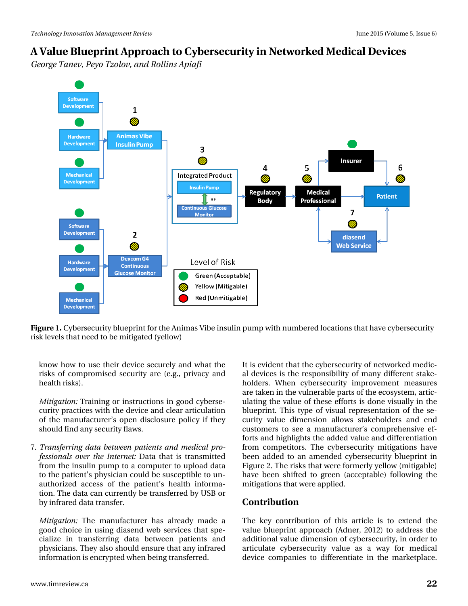*George Tanev, Peyo Tzolov, and Rollins Apiafi*



**Figure 1.** Cybersecurity blueprint for the Animas Vibe insulin pump with numbered locations that have cybersecurity risk levels that need to be mitigated (yellow)

know how to use their device securely and what the risks of compromised security are (e.g., privacy and health risks).

*Mitigation:* Training or instructions in good cybersecurity practices with the device and clear articulation of the manufacturer's open disclosure policy if they should find any security flaws.

7. *Transferring data between patients and medical professionals over the Internet:* Data that is transmitted from the insulin pump to a computer to upload data to the patient's physician could be susceptible to unauthorized access of the patient's health information. The data can currently be transferred by USB or by infrared data transfer.

*Mitigation:* The manufacturer has already made a good choice in using diasend web services that specialize in transferring data between patients and physicians. They also should ensure that any infrared information is encrypted when being transferred.

It is evident that the cybersecurity of networked medical devices is the responsibility of many different stakeholders. When cybersecurity improvement measures are taken in the vulnerable parts of the ecosystem, articulating the value of these efforts is done visually in the blueprint. This type of visual representation of the security value dimension allows stakeholders and end customers to see a manufacturer's comprehensive efforts and highlights the added value and differentiation from competitors. The cybersecurity mitigations have been added to an amended cybersecurity blueprint in Figure 2. The risks that were formerly yellow (mitigable) have been shifted to green (acceptable) following the mitigations that were applied.

#### **Contribution**

The key contribution of this article is to extend the value blueprint approach (Adner, 2012) to address the additional value dimension of cybersecurity, in order to articulate cybersecurity value as a way for medical device companies to differentiate in the marketplace.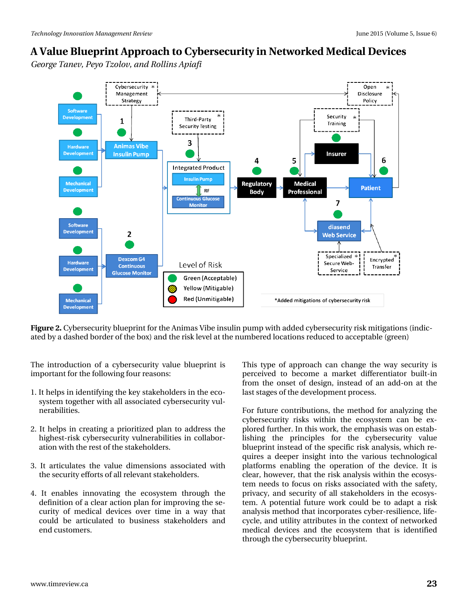*George Tanev, Peyo Tzolov, and Rollins Apiafi*



**Figure 2.** Cybersecurity blueprint for the Animas Vibe insulin pump with added cybersecurity risk mitigations (indicated by a dashed border of the box) and the risk level at the numbered locations reduced to acceptable (green)

The introduction of a cybersecurity value blueprint is important for the following four reasons:

- 1. It helps in identifying the key stakeholders in the ecosystem together with all associated cybersecurity vulnerabilities.
- 2. It helps in creating a prioritized plan to address the highest-risk cybersecurity vulnerabilities in collaboration with the rest of the stakeholders.
- 3. It articulates the value dimensions associated with the security efforts of all relevant stakeholders.
- 4. It enables innovating the ecosystem through the definition of a clear action plan for improving the security of medical devices over time in a way that could be articulated to business stakeholders and end customers.

This type of approach can change the way security is perceived to become a market differentiator built-in from the onset of design, instead of an add-on at the last stages of the development process.

For future contributions, the method for analyzing the cybersecurity risks within the ecosystem can be explored further. In this work, the emphasis was on establishing the principles for the cybersecurity value blueprint instead of the specific risk analysis, which requires a deeper insight into the various technological platforms enabling the operation of the device. It is clear, however, that the risk analysis within the ecosystem needs to focus on risks associated with the safety, privacy, and security of all stakeholders in the ecosystem. A potential future work could be to adapt a risk analysis method that incorporates cyber-resilience, lifecycle, and utility attributes in the context of networked medical devices and the ecosystem that is identified through the cybersecurity blueprint.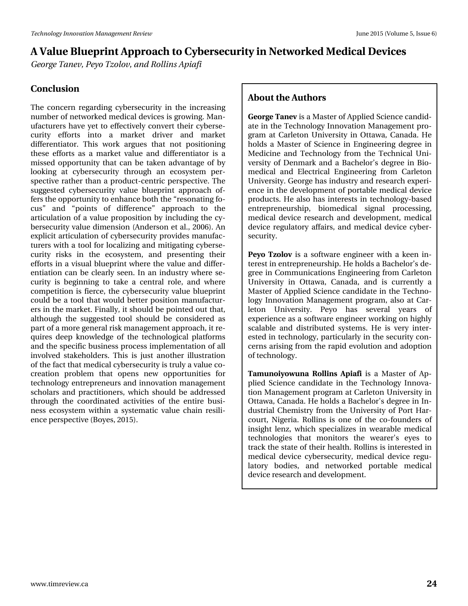*George Tanev, Peyo Tzolov, and Rollins Apiafi*

#### **Conclusion**

The concern regarding cybersecurity in the increasing number of networked medical devices is growing. Manufacturers have yet to effectively convert their cybersecurity efforts into a market driver and market differentiator. This work argues that not positioning these efforts as a market value and differentiator is a missed opportunity that can be taken advantage of by looking at cybersecurity through an ecosystem perspective rather than a product-centric perspective. The suggested cybersecurity value blueprint approach offers the opportunity to enhance both the "resonating focus" and "points of difference" approach to the articulation of a value proposition by including the cybersecurity value dimension (Anderson et al., 2006). An explicit articulation of cybersecurity provides manufacturers with a tool for localizing and mitigating cybersecurity risks in the ecosystem, and presenting their efforts in a visual blueprint where the value and differentiation can be clearly seen. In an industry where security is beginning to take a central role, and where competition is fierce, the cybersecurity value blueprint could be a tool that would better position manufacturers in the market. Finally, it should be pointed out that, although the suggested tool should be considered as part of a more general risk management approach, it requires deep knowledge of the technological platforms and the specific business process implementation of all involved stakeholders. This is just another illustration of the fact that medical cybersecurity is truly a value cocreation problem that opens new opportunities for technology entrepreneurs and innovation management scholars and practitioners, which should be addressed through the coordinated activities of the entire business ecosystem within a systematic value chain resilience perspective (Boyes, 2015).

#### **About the Authors**

**George Tanev** is a Master of Applied Science candidate in the Technology Innovation Management program at Carleton University in Ottawa, Canada. He holds a Master of Science in Engineering degree in Medicine and Technology from the Technical University of Denmark and a Bachelor's degree in Biomedical and Electrical Engineering from Carleton University. George has industry and research experience in the development of portable medical device products. He also has interests in technology-based entrepreneurship, biomedical signal processing, medical device research and development, medical device regulatory affairs, and medical device cybersecurity.

**Peyo Tzolov** is a software engineer with a keen interest in entrepreneurship. He holds a Bachelor's degree in Communications Engineering from Carleton University in Ottawa, Canada, and is currently a Master of Applied Science candidate in the Technology Innovation Management program, also at Carleton University. Peyo has several years of experience as a software engineer working on highly scalable and distributed systems. He is very interested in technology, particularly in the security concerns arising from the rapid evolution and adoption of technology.

**Tamunoiyowuna Rollins Apiafi** is a Master of Applied Science candidate in the Technology Innovation Management program at Carleton University in Ottawa, Canada. He holds a Bachelor's degree in Industrial Chemistry from the University of Port Harcourt, Nigeria. Rollins is one of the co-founders of insight lenz, which specializes in wearable medical technologies that monitors the wearer's eyes to track the state of their health. Rollins is interested in medical device cybersecurity, medical device regulatory bodies, and networked portable medical device research and development.